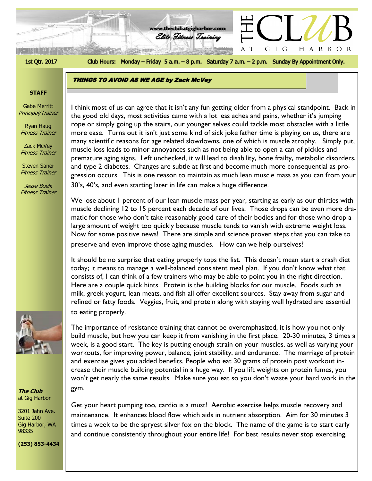

Club Hours: Monday - Friday 5 a.m. - 8 p.m. Saturday 7 a.m. - 2 p.m. Sunday By Appointment Only.

HARBOR

GIG

 $\top$ 

**www.theclubatgigharbor.com**

Elite Fitness Training

# **THINGS TO AVOID AS WE AGE by Zack McVey**

#### **STAFF**

Gabe Merritt Principal/Trainer

Ryan Haug Fitness Trainer

Zack McVey Fitness Trainer

Steven Saner Fitness Trainer

Jesse Boelk Fitness Trainer



We lose about 1 percent of our lean muscle mass per year, starting as early as our thirties with muscle declining 12 to 15 percent each decade of our lives. Those drops can be even more dramatic for those who don't take reasonably good care of their bodies and for those who drop a large amount of weight too quickly because muscle tends to vanish with extreme weight loss. Now for some positive news! There are simple and science proven steps that you can take to preserve and even improve those aging muscles. How can we help ourselves?

It should be no surprise that eating properly tops the list. This doesn't mean start a crash diet today; it means to manage a well-balanced consistent meal plan. If you don't know what that consists of, I can think of a few trainers who may be able to point you in the right direction. Here are a couple quick hints. Protein is the building blocks for our muscle. Foods such as milk, greek yogurt, lean meats, and fish all offer excellent sources. Stay away from sugar and refined or fatty foods. Veggies, fruit, and protein along with staying well hydrated are essential to eating properly.

The importance of resistance training that cannot be overemphasized, it is how you not only build muscle, but how you can keep it from vanishing in the first place. 20-30 minutes, 3 times a week, is a good start. The key is putting enough strain on your muscles, as well as varying your workouts, for improving power, balance, joint stability, and endurance. The marriage of protein and exercise gives you added benefits. People who eat 30 grams of protein post workout increase their muscle building potential in a huge way. If you lift weights on protein fumes, you won't get nearly the same results. Make sure you eat so you don't waste your hard work in the gym.

Get your heart pumping too, cardio is a must! Aerobic exercise helps muscle recovery and maintenance. It enhances blood flow which aids in nutrient absorption. Aim for 30 minutes 3 times a week to be the spryest silver fox on the block. The name of the game is to start early and continue consistently throughout your entire life! For best results never stop exercising.



**The Club** at Gig Harbor

3201 Jahn Ave. Suite 200 Gig Harbor, WA 98335

**(253) 853-4434**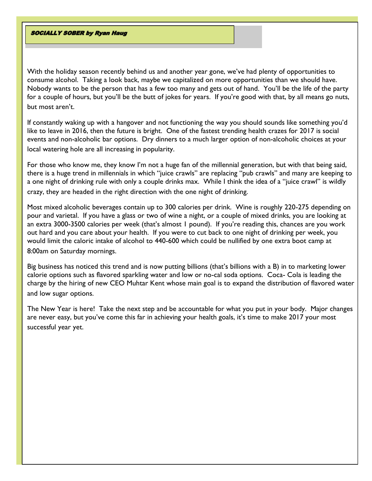#### **SOCIALLY SOBER by Ryan Haug**

With the holiday season recently behind us and another year gone, we've had plenty of opportunities to consume alcohol. Taking a look back, maybe we capitalized on more opportunities than we should have. Nobody wants to be the person that has a few too many and gets out of hand. You'll be the life of the party for a couple of hours, but you'll be the butt of jokes for years. If you're good with that, by all means go nuts, but most aren't.

If constantly waking up with a hangover and not functioning the way you should sounds like something you'd like to leave in 2016, then the future is bright. One of the fastest trending health crazes for 2017 is social events and non-alcoholic bar options. Dry dinners to a much larger option of non-alcoholic choices at your local watering hole are all increasing in popularity.

For those who know me, they know I'm not a huge fan of the millennial generation, but with that being said, there is a huge trend in millennials in which "juice crawls" are replacing "pub crawls" and many are keeping to a one night of drinking rule with only a couple drinks max. While I think the idea of a "juice crawl" is wildly crazy, they are headed in the right direction with the one night of drinking.

Most mixed alcoholic beverages contain up to 300 calories per drink. Wine is roughly 220-275 depending on pour and varietal. If you have a glass or two of wine a night, or a couple of mixed drinks, you are looking at an extra 3000-3500 calories per week (that's almost 1 pound). If you're reading this, chances are you work out hard and you care about your health. If you were to cut back to one night of drinking per week, you would limit the caloric intake of alcohol to 440-600 which could be nullified by one extra boot camp at 8:00am on Saturday mornings.

Big business has noticed this trend and is now putting billions (that's billions with a B) in to marketing lower calorie options such as flavored sparkling water and low or no-cal soda options. Coca- Cola is leading the charge by the hiring of new CEO Muhtar Kent whose main goal is to expand the distribution of flavored water and low sugar options.

The New Year is here! Take the next step and be accountable for what you put in your body. Major changes are never easy, but you've come this far in achieving your health goals, it's time to make 2017 your most successful year yet.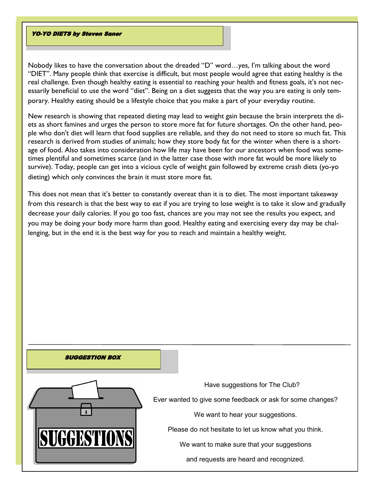#### **YO-YO DIETS by Steven Saner**

Nobody likes to have the conversation about the dreaded "D" word…yes, I'm talking about the word "DIET". Many people think that exercise is difficult, but most people would agree that eating healthy is the real challenge. Even though healthy eating is essential to reaching your health and fitness goals, it's not necessarily beneficial to use the word "diet". Being on a diet suggests that the way you are eating is only temporary. Healthy eating should be a lifestyle choice that you make a part of your everyday routine.

New research is showing that repeated dieting may lead to weight gain because the brain interprets the diets as short famines and urges the person to store more fat for future shortages. On the other hand, people who don't diet will learn that food supplies are reliable, and they do not need to store so much fat. This research is derived from studies of animals; how they store body fat for the winter when there is a shortage of food. Also takes into consideration how life may have been for our ancestors when food was sometimes plentiful and sometimes scarce (and in the latter case those with more fat would be more likely to survive). Today, people can get into a vicious cycle of weight gain followed by extreme crash diets (yo-yo dieting) which only convinces the brain it must store more fat.

This does not mean that it's better to constantly overeat than it is to diet. The most important takeaway from this research is that the best way to eat if you are trying to lose weight is to take it slow and gradually decrease your daily calories. If you go too fast, chances are you may not see the results you expect, and you may be doing your body more harm than good. Healthy eating and exercising every day may be challenging, but in the end it is the best way for you to reach and maintain a healthy weight.

#### **SUGGESTION BOX**



Have suggestions for The Club?

Ever wanted to give some feedback or ask for some changes?

We want to hear your suggestions.

Please do not hesitate to let us know what you think.

We want to make sure that your suggestions

and requests are heard and recognized.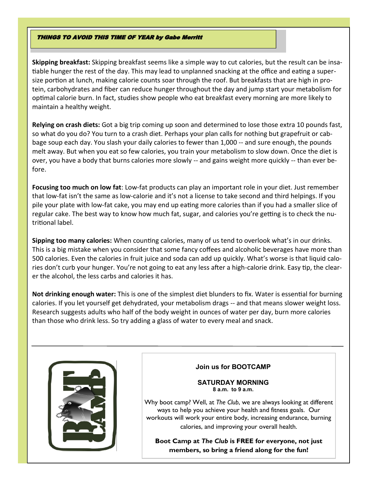## **THINGS TO AVOID THIS TIME OF YEAR by Gabe Merritt**

**Skipping breakfast:** Skipping breakfast seems like a simple way to cut calories, but the result can be insatiable hunger the rest of the day. This may lead to unplanned snacking at the office and eating a supersize portion at lunch, making calorie counts soar through the roof. But breakfasts that are high in protein, carbohydrates and fiber can reduce hunger throughout the day and jump start your metabolism for optimal calorie burn. In fact, studies show people who eat breakfast every morning are more likely to maintain a healthy weight.

**Relying on crash diets:** Got a big trip coming up soon and determined to lose those extra 10 pounds fast, so what do you do? You turn to a crash diet. Perhaps your plan calls for nothing but grapefruit or cabbage soup each day. You slash your daily calories to fewer than 1,000 -- and sure enough, the pounds melt away. But when you eat so few calories, you train your metabolism to slow down. Once the diet is over, you have a body that burns calories more slowly -- and gains weight more quickly -- than ever before.

**Focusing too much on low fat**: Low-fat products can play an important role in your diet. Just remember that low-fat isn't the same as low-calorie and it's not a license to take second and third helpings. If you pile your plate with low-fat cake, you may end up eating more calories than if you had a smaller slice of regular cake. The best way to know how much fat, sugar, and calories you're getting is to check the nutritional label.

**Sipping too many calories:** When counting calories, many of us tend to overlook what's in our drinks. This is a big mistake when you consider that some fancy coffees and alcoholic beverages have more than 500 calories. Even the calories in fruit juice and soda can add up quickly. What's worse is that liquid calories don't curb your hunger. You're not going to eat any less after a high-calorie drink. Easy tip, the clearer the alcohol, the less carbs and calories it has.

**Not drinking enough water:** This is one of the simplest diet blunders to fix. Water is essential for burning calories. If you let yourself get dehydrated, your metabolism drags -- and that means slower weight loss. Research suggests adults who half of the body weight in ounces of water per day, burn more calories than those who drink less. So try adding a glass of water to every meal and snack.



# **Join us for BOOTCAMP**

#### **SATURDAY MORNING 8 a.m. to 9 a.m.**

Why boot camp? Well, at *The Club*, we are always looking at different ways to help you achieve your health and fitness goals. Our workouts will work your entire body, increasing endurance, burning calories, and improving your overall health.

**Boot Camp at** *The Club* **is FREE for everyone, not just members, so bring a friend along for the fun!**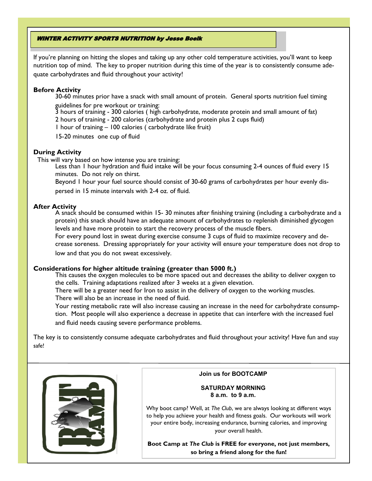## **WINTER ACTIVITY SPORTS NUTRITION by Jesse Boelk**

If you're planning on hitting the slopes and taking up any other cold temperature activities, you'll want to keep nutrition top of mind. The key to proper nutrition during this time of the year is to consistently consume adequate carbohydrates and fluid throughout your activity!

## **Before Activity**

30-60 minutes prior have a snack with small amount of protein. General sports nutrition fuel timing

guidelines for pre workout or training:

3 hours of training - 300 calories ( high carbohydrate, moderate protein and small amount of fat) 2 hours of training - 200 calories (carbohydrate and protein plus 2 cups fluid)

1 hour of training – 100 calories ( carbohydrate like fruit)

15-20 minutes one cup of fluid

## **During Activity**

This will vary based on how intense you are training:

Less than 1 hour hydration and fluid intake will be your focus consuming 2-4 ounces of fluid every 15 minutes. Do not rely on thirst.

Beyond 1 hour your fuel source should consist of 30-60 grams of carbohydrates per hour evenly dispersed in 15 minute intervals with 2-4 oz. of fluid.

## **After Activity**

A snack should be consumed within 15- 30 minutes after finishing training (including a carbohydrate and a protein) this snack should have an adequate amount of carbohydrates to replenish diminished glycogen levels and have more protein to start the recovery process of the muscle fibers.

For every pound lost in sweat during exercise consume 3 cups of fluid to maximize recovery and decrease soreness. Dressing appropriately for your activity will ensure your temperature does not drop to low and that you do not sweat excessively.

## **Considerations for higher altitude training (greater than 5000 ft.)**

This causes the oxygen molecules to be more spaced out and decreases the ability to deliver oxygen to the cells. Training adaptations realized after 3 weeks at a given elevation.

There will be a greater need for Iron to assist in the delivery of oxygen to the working muscles. There will also be an increase in the need of fluid.

Your resting metabolic rate will also increase causing an increase in the need for carbohydrate consumption. Most people will also experience a decrease in appetite that can interfere with the increased fuel and fluid needs causing severe performance problems.

The key is to consistently consume adequate carbohydrates and fluid throughout your activity! Have fun and stay safe!



#### **Join us for BOOTCAMP**

#### **SATURDAY MORNING 8 a.m. to 9 a.m.**

Why boot camp? Well, at *The Club*, we are always looking at different ways to help you achieve your health and fitness goals. Our workouts will work your entire body, increasing endurance, burning calories, and improving your overall health.

**Boot Camp at** *The Club* **is FREE for everyone, not just members, so bring a friend along for the fun!**